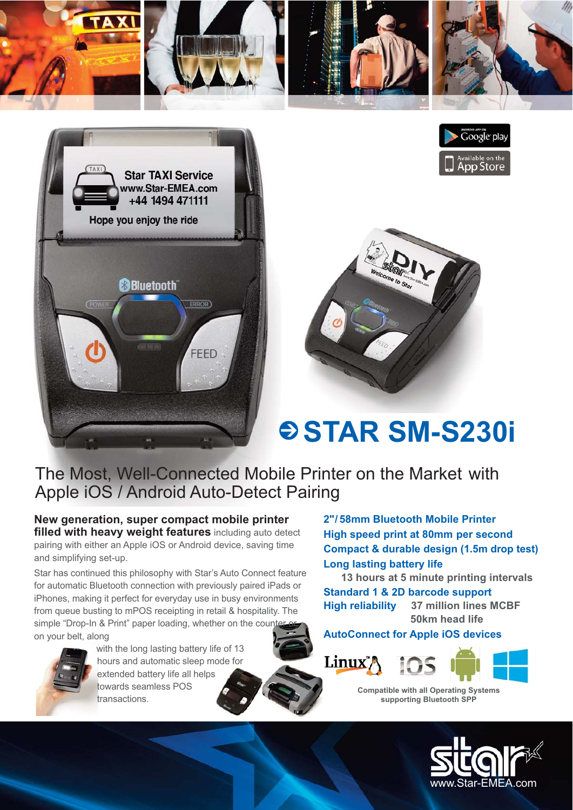







## $\odot$  STAR SM-S230i

## The Most, Well-Connected Mobile Printer on the Market with Apple iOS / Android Auto-Detect Pairing

**New generation, super compact mobile printer filled with heavy weight features** including auto detect pairing with either an Apple iOS or Android device, saving time and simplifying set-up.

Star has continued this philosophy with Star's Auto Connect feature for automatic Bluetooth connection with previously paired iPads or iPhones, making it perfect for everyday use in busy environments from queue busting to mPOS receipting in retail & hospitality. The simple "Drop-In & Print" paper loading, whether on the counter on your belt, along



with the long lasting battery life of 13 hours and automatic sleep mode for extended battery life all helps towards seamless POS transactions.

**2"/ 58mm Bluetooth Mobile Printer High speed print at 80mm per second Compact & durable design (1.5m drop test) Long lasting battery life**

**13 hours at 5 minute printing intervals Standard 1 & 2D barcode support High reliability 37 million lines MCBF 50km head life**

**AutoConnect for Apple iOS devices**



**Compatible with all Operating Systems supporting Bluetooth SPP**